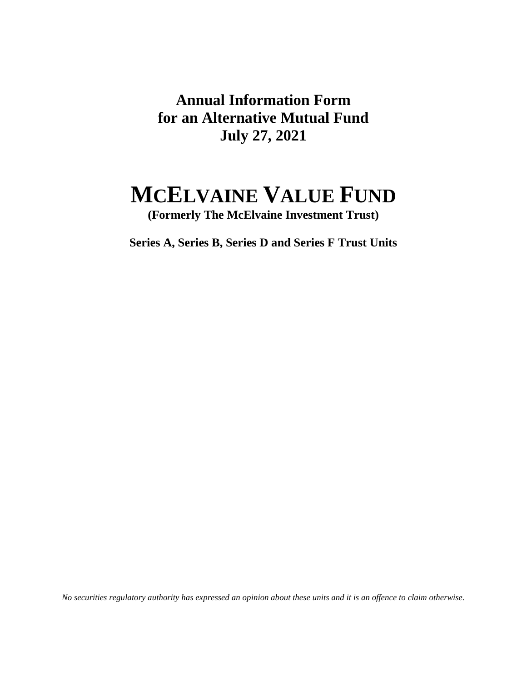**Annual Information Form for an Alternative Mutual Fund July 27, 2021** 

# **MCELVAINE VALUE FUND**

**(Formerly The McElvaine Investment Trust)** 

**Series A, Series B, Series D and Series F Trust Units**

*No securities regulatory authority has expressed an opinion about these units and it is an offence to claim otherwise.*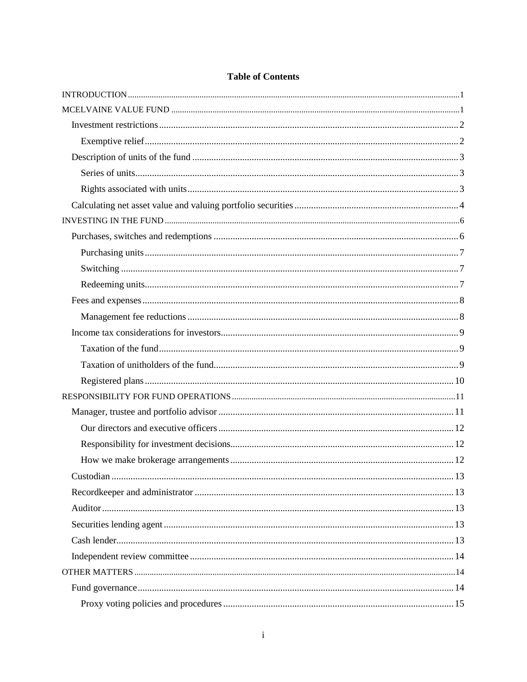# **Table of Contents**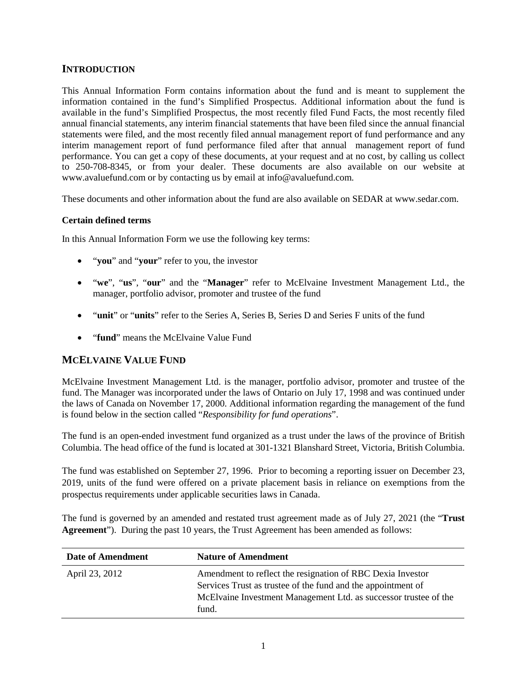# <span id="page-3-0"></span>**INTRODUCTION**

This Annual Information Form contains information about the fund and is meant to supplement the information contained in the fund's Simplified Prospectus. Additional information about the fund is available in the fund's Simplified Prospectus, the most recently filed Fund Facts, the most recently filed annual financial statements, any interim financial statements that have been filed since the annual financial statements were filed, and the most recently filed annual management report of fund performance and any interim management report of fund performance filed after that annual management report of fund performance. You can get a copy of these documents, at your request and at no cost, by calling us collect to 250-708-8345, or from your dealer. These documents are also available on our website at www.avaluefund.com or by contacting us by email at info@avaluefund.com.

These documents and other information about the fund are also available on SEDAR at www.sedar.com.

# **Certain defined terms**

In this Annual Information Form we use the following key terms:

- "**you**" and "**your**" refer to you, the investor
- "**we**", "**us**", "**our**" and the "**Manager**" refer to McElvaine Investment Management Ltd., the manager, portfolio advisor, promoter and trustee of the fund
- "**unit**" or "**units**" refer to the Series A, Series B, Series D and Series F units of the fund
- **•** "fund" means the McElvaine Value Fund

# <span id="page-3-1"></span>**MCELVAINE VALUE FUND**

McElvaine Investment Management Ltd. is the manager, portfolio advisor, promoter and trustee of the fund. The Manager was incorporated under the laws of Ontario on July 17, 1998 and was continued under the laws of Canada on November 17, 2000. Additional information regarding the management of the fund is found below in the section called "*Responsibility for fund operations*".

The fund is an open-ended investment fund organized as a trust under the laws of the province of British Columbia. The head office of the fund is located at 301-1321 Blanshard Street, Victoria, British Columbia.

The fund was established on September 27, 1996. Prior to becoming a reporting issuer on December 23, 2019, units of the fund were offered on a private placement basis in reliance on exemptions from the prospectus requirements under applicable securities laws in Canada.

The fund is governed by an amended and restated trust agreement made as of July 27, 2021 (the "**Trust Agreement**"). During the past 10 years, the Trust Agreement has been amended as follows:

| Date of Amendment | <b>Nature of Amendment</b>                                                                                                                                                                              |
|-------------------|---------------------------------------------------------------------------------------------------------------------------------------------------------------------------------------------------------|
| April 23, 2012    | Amendment to reflect the resignation of RBC Dexia Investor<br>Services Trust as trustee of the fund and the appointment of<br>McElvaine Investment Management Ltd. as successor trustee of the<br>fund. |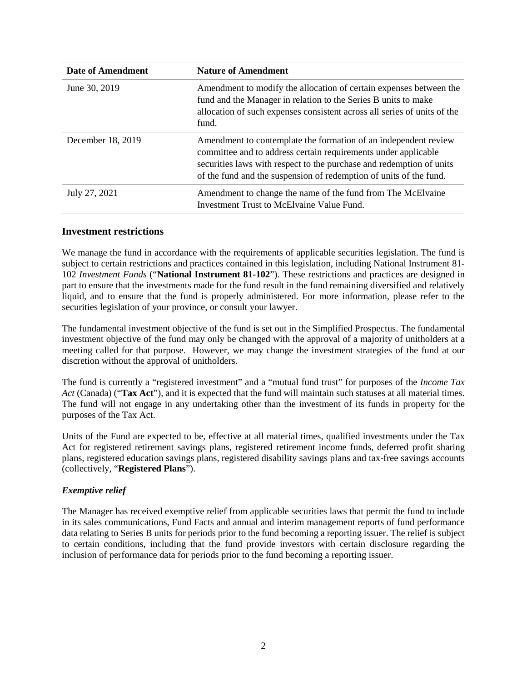| <b>Date of Amendment</b> | <b>Nature of Amendment</b>                                                                                                                                                                                                                                                      |
|--------------------------|---------------------------------------------------------------------------------------------------------------------------------------------------------------------------------------------------------------------------------------------------------------------------------|
| June 30, 2019            | Amendment to modify the allocation of certain expenses between the<br>fund and the Manager in relation to the Series B units to make<br>allocation of such expenses consistent across all series of units of the<br>fund.                                                       |
| December 18, 2019        | Amendment to contemplate the formation of an independent review<br>committee and to address certain requirements under applicable<br>securities laws with respect to the purchase and redemption of units<br>of the fund and the suspension of redemption of units of the fund. |
| July 27, 2021            | Amendment to change the name of the fund from The McElvaine<br>Investment Trust to McElvaine Value Fund.                                                                                                                                                                        |

## <span id="page-4-0"></span>**Investment restrictions**

We manage the fund in accordance with the requirements of applicable securities legislation. The fund is subject to certain restrictions and practices contained in this legislation, including National Instrument 81- 102 *Investment Funds* ("**National Instrument 81-102**"). These restrictions and practices are designed in part to ensure that the investments made for the fund result in the fund remaining diversified and relatively liquid, and to ensure that the fund is properly administered. For more information, please refer to the securities legislation of your province, or consult your lawyer.

The fundamental investment objective of the fund is set out in the Simplified Prospectus. The fundamental investment objective of the fund may only be changed with the approval of a majority of unitholders at a meeting called for that purpose. However, we may change the investment strategies of the fund at our discretion without the approval of unitholders.

The fund is currently a "registered investment" and a "mutual fund trust" for purposes of the *Income Tax Act* (Canada) ("**Tax Act**"), and it is expected that the fund will maintain such statuses at all material times. The fund will not engage in any undertaking other than the investment of its funds in property for the purposes of the Tax Act.

Units of the Fund are expected to be, effective at all material times, qualified investments under the Tax Act for registered retirement savings plans, registered retirement income funds, deferred profit sharing plans, registered education savings plans, registered disability savings plans and tax-free savings accounts (collectively, "**Registered Plans**").

# <span id="page-4-1"></span>*Exemptive relief*

The Manager has received exemptive relief from applicable securities laws that permit the fund to include in its sales communications, Fund Facts and annual and interim management reports of fund performance data relating to Series B units for periods prior to the fund becoming a reporting issuer. The relief is subject to certain conditions, including that the fund provide investors with certain disclosure regarding the inclusion of performance data for periods prior to the fund becoming a reporting issuer.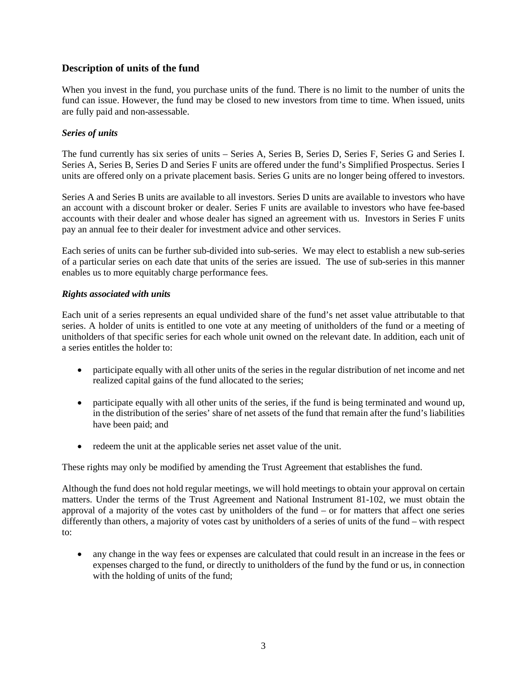# <span id="page-5-0"></span>**Description of units of the fund**

When you invest in the fund, you purchase units of the fund. There is no limit to the number of units the fund can issue. However, the fund may be closed to new investors from time to time. When issued, units are fully paid and non-assessable.

# <span id="page-5-1"></span>*Series of units*

The fund currently has six series of units – Series A, Series B, Series D, Series F, Series G and Series I. Series A, Series B, Series D and Series F units are offered under the fund's Simplified Prospectus. Series I units are offered only on a private placement basis. Series G units are no longer being offered to investors.

Series A and Series B units are available to all investors. Series D units are available to investors who have an account with a discount broker or dealer. Series F units are available to investors who have fee-based accounts with their dealer and whose dealer has signed an agreement with us. Investors in Series F units pay an annual fee to their dealer for investment advice and other services.

Each series of units can be further sub-divided into sub-series. We may elect to establish a new sub-series of a particular series on each date that units of the series are issued. The use of sub-series in this manner enables us to more equitably charge performance fees.

## <span id="page-5-2"></span>*Rights associated with units*

Each unit of a series represents an equal undivided share of the fund's net asset value attributable to that series. A holder of units is entitled to one vote at any meeting of unitholders of the fund or a meeting of unitholders of that specific series for each whole unit owned on the relevant date. In addition, each unit of a series entitles the holder to:

- participate equally with all other units of the series in the regular distribution of net income and net realized capital gains of the fund allocated to the series;
- participate equally with all other units of the series, if the fund is being terminated and wound up, in the distribution of the series' share of net assets of the fund that remain after the fund's liabilities have been paid; and
- redeem the unit at the applicable series net asset value of the unit.

These rights may only be modified by amending the Trust Agreement that establishes the fund.

Although the fund does not hold regular meetings, we will hold meetings to obtain your approval on certain matters. Under the terms of the Trust Agreement and National Instrument 81-102, we must obtain the approval of a majority of the votes cast by unitholders of the fund – or for matters that affect one series differently than others, a majority of votes cast by unitholders of a series of units of the fund – with respect to:

 any change in the way fees or expenses are calculated that could result in an increase in the fees or expenses charged to the fund, or directly to unitholders of the fund by the fund or us, in connection with the holding of units of the fund;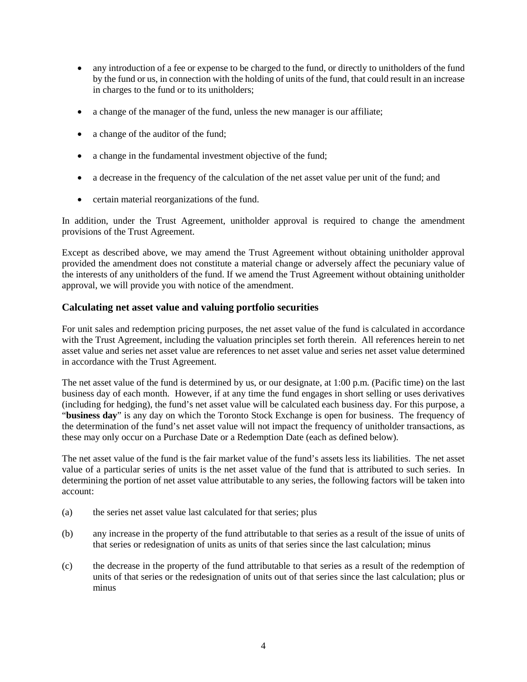- any introduction of a fee or expense to be charged to the fund, or directly to unitholders of the fund by the fund or us, in connection with the holding of units of the fund, that could result in an increase in charges to the fund or to its unitholders;
- a change of the manager of the fund, unless the new manager is our affiliate;
- a change of the auditor of the fund;
- a change in the fundamental investment objective of the fund;
- a decrease in the frequency of the calculation of the net asset value per unit of the fund; and
- certain material reorganizations of the fund.

In addition, under the Trust Agreement, unitholder approval is required to change the amendment provisions of the Trust Agreement.

Except as described above, we may amend the Trust Agreement without obtaining unitholder approval provided the amendment does not constitute a material change or adversely affect the pecuniary value of the interests of any unitholders of the fund. If we amend the Trust Agreement without obtaining unitholder approval, we will provide you with notice of the amendment.

# <span id="page-6-0"></span>**Calculating net asset value and valuing portfolio securities**

For unit sales and redemption pricing purposes, the net asset value of the fund is calculated in accordance with the Trust Agreement, including the valuation principles set forth therein. All references herein to net asset value and series net asset value are references to net asset value and series net asset value determined in accordance with the Trust Agreement.

The net asset value of the fund is determined by us, or our designate, at 1:00 p.m. (Pacific time) on the last business day of each month. However, if at any time the fund engages in short selling or uses derivatives (including for hedging), the fund's net asset value will be calculated each business day. For this purpose, a "**business day**" is any day on which the Toronto Stock Exchange is open for business. The frequency of the determination of the fund's net asset value will not impact the frequency of unitholder transactions, as these may only occur on a Purchase Date or a Redemption Date (each as defined below).

The net asset value of the fund is the fair market value of the fund's assets less its liabilities. The net asset value of a particular series of units is the net asset value of the fund that is attributed to such series. In determining the portion of net asset value attributable to any series, the following factors will be taken into account:

- (a) the series net asset value last calculated for that series; plus
- (b) any increase in the property of the fund attributable to that series as a result of the issue of units of that series or redesignation of units as units of that series since the last calculation; minus
- (c) the decrease in the property of the fund attributable to that series as a result of the redemption of units of that series or the redesignation of units out of that series since the last calculation; plus or minus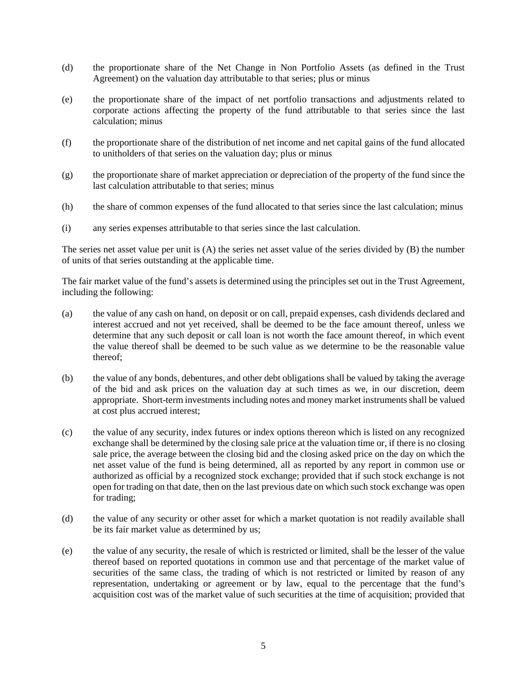- (d) the proportionate share of the Net Change in Non Portfolio Assets (as defined in the Trust Agreement) on the valuation day attributable to that series; plus or minus
- (e) the proportionate share of the impact of net portfolio transactions and adjustments related to corporate actions affecting the property of the fund attributable to that series since the last calculation; minus
- (f) the proportionate share of the distribution of net income and net capital gains of the fund allocated to unitholders of that series on the valuation day; plus or minus
- (g) the proportionate share of market appreciation or depreciation of the property of the fund since the last calculation attributable to that series; minus
- (h) the share of common expenses of the fund allocated to that series since the last calculation; minus
- (i) any series expenses attributable to that series since the last calculation.

The series net asset value per unit is (A) the series net asset value of the series divided by (B) the number of units of that series outstanding at the applicable time.

The fair market value of the fund's assets is determined using the principles set out in the Trust Agreement, including the following:

- (a) the value of any cash on hand, on deposit or on call, prepaid expenses, cash dividends declared and interest accrued and not yet received, shall be deemed to be the face amount thereof, unless we determine that any such deposit or call loan is not worth the face amount thereof, in which event the value thereof shall be deemed to be such value as we determine to be the reasonable value thereof;
- (b) the value of any bonds, debentures, and other debt obligations shall be valued by taking the average of the bid and ask prices on the valuation day at such times as we, in our discretion, deem appropriate. Short-term investments including notes and money market instruments shall be valued at cost plus accrued interest;
- (c) the value of any security, index futures or index options thereon which is listed on any recognized exchange shall be determined by the closing sale price at the valuation time or, if there is no closing sale price, the average between the closing bid and the closing asked price on the day on which the net asset value of the fund is being determined, all as reported by any report in common use or authorized as official by a recognized stock exchange; provided that if such stock exchange is not open for trading on that date, then on the last previous date on which such stock exchange was open for trading;
- (d) the value of any security or other asset for which a market quotation is not readily available shall be its fair market value as determined by us;
- (e) the value of any security, the resale of which is restricted or limited, shall be the lesser of the value thereof based on reported quotations in common use and that percentage of the market value of securities of the same class, the trading of which is not restricted or limited by reason of any representation, undertaking or agreement or by law, equal to the percentage that the fund's acquisition cost was of the market value of such securities at the time of acquisition; provided that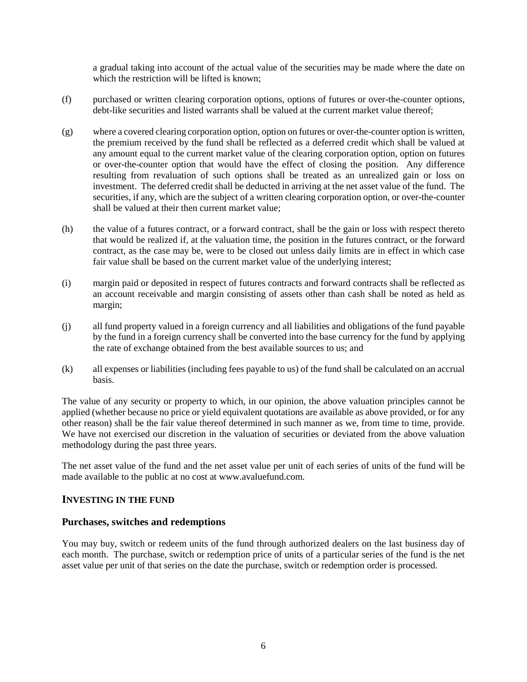a gradual taking into account of the actual value of the securities may be made where the date on which the restriction will be lifted is known:

- (f) purchased or written clearing corporation options, options of futures or over-the-counter options, debt-like securities and listed warrants shall be valued at the current market value thereof;
- (g) where a covered clearing corporation option, option on futures or over-the-counter option is written, the premium received by the fund shall be reflected as a deferred credit which shall be valued at any amount equal to the current market value of the clearing corporation option, option on futures or over-the-counter option that would have the effect of closing the position. Any difference resulting from revaluation of such options shall be treated as an unrealized gain or loss on investment. The deferred credit shall be deducted in arriving at the net asset value of the fund. The securities, if any, which are the subject of a written clearing corporation option, or over-the-counter shall be valued at their then current market value;
- (h) the value of a futures contract, or a forward contract, shall be the gain or loss with respect thereto that would be realized if, at the valuation time, the position in the futures contract, or the forward contract, as the case may be, were to be closed out unless daily limits are in effect in which case fair value shall be based on the current market value of the underlying interest;
- (i) margin paid or deposited in respect of futures contracts and forward contracts shall be reflected as an account receivable and margin consisting of assets other than cash shall be noted as held as margin;
- (j) all fund property valued in a foreign currency and all liabilities and obligations of the fund payable by the fund in a foreign currency shall be converted into the base currency for the fund by applying the rate of exchange obtained from the best available sources to us; and
- (k) all expenses or liabilities (including fees payable to us) of the fund shall be calculated on an accrual basis.

The value of any security or property to which, in our opinion, the above valuation principles cannot be applied (whether because no price or yield equivalent quotations are available as above provided, or for any other reason) shall be the fair value thereof determined in such manner as we, from time to time, provide. We have not exercised our discretion in the valuation of securities or deviated from the above valuation methodology during the past three years.

The net asset value of the fund and the net asset value per unit of each series of units of the fund will be made available to the public at no cost at www.avaluefund.com.

## <span id="page-8-0"></span>**INVESTING IN THE FUND**

## <span id="page-8-1"></span>**Purchases, switches and redemptions**

You may buy, switch or redeem units of the fund through authorized dealers on the last business day of each month. The purchase, switch or redemption price of units of a particular series of the fund is the net asset value per unit of that series on the date the purchase, switch or redemption order is processed.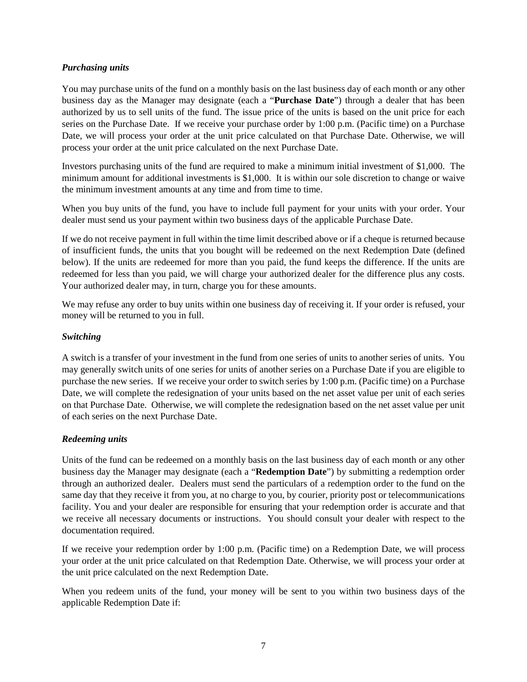## <span id="page-9-0"></span>*Purchasing units*

You may purchase units of the fund on a monthly basis on the last business day of each month or any other business day as the Manager may designate (each a "**Purchase Date**") through a dealer that has been authorized by us to sell units of the fund. The issue price of the units is based on the unit price for each series on the Purchase Date. If we receive your purchase order by 1:00 p.m. (Pacific time) on a Purchase Date, we will process your order at the unit price calculated on that Purchase Date. Otherwise, we will process your order at the unit price calculated on the next Purchase Date.

Investors purchasing units of the fund are required to make a minimum initial investment of \$1,000. The minimum amount for additional investments is \$1,000. It is within our sole discretion to change or waive the minimum investment amounts at any time and from time to time.

When you buy units of the fund, you have to include full payment for your units with your order. Your dealer must send us your payment within two business days of the applicable Purchase Date.

If we do not receive payment in full within the time limit described above or if a cheque is returned because of insufficient funds, the units that you bought will be redeemed on the next Redemption Date (defined below). If the units are redeemed for more than you paid, the fund keeps the difference. If the units are redeemed for less than you paid, we will charge your authorized dealer for the difference plus any costs. Your authorized dealer may, in turn, charge you for these amounts.

We may refuse any order to buy units within one business day of receiving it. If your order is refused, your money will be returned to you in full.

# <span id="page-9-1"></span>*Switching*

A switch is a transfer of your investment in the fund from one series of units to another series of units. You may generally switch units of one series for units of another series on a Purchase Date if you are eligible to purchase the new series. If we receive your order to switch series by 1:00 p.m. (Pacific time) on a Purchase Date, we will complete the redesignation of your units based on the net asset value per unit of each series on that Purchase Date. Otherwise, we will complete the redesignation based on the net asset value per unit of each series on the next Purchase Date.

## <span id="page-9-2"></span>*Redeeming units*

Units of the fund can be redeemed on a monthly basis on the last business day of each month or any other business day the Manager may designate (each a "**Redemption Date**") by submitting a redemption order through an authorized dealer. Dealers must send the particulars of a redemption order to the fund on the same day that they receive it from you, at no charge to you, by courier, priority post or telecommunications facility. You and your dealer are responsible for ensuring that your redemption order is accurate and that we receive all necessary documents or instructions. You should consult your dealer with respect to the documentation required.

If we receive your redemption order by 1:00 p.m. (Pacific time) on a Redemption Date, we will process your order at the unit price calculated on that Redemption Date. Otherwise, we will process your order at the unit price calculated on the next Redemption Date.

When you redeem units of the fund, your money will be sent to you within two business days of the applicable Redemption Date if: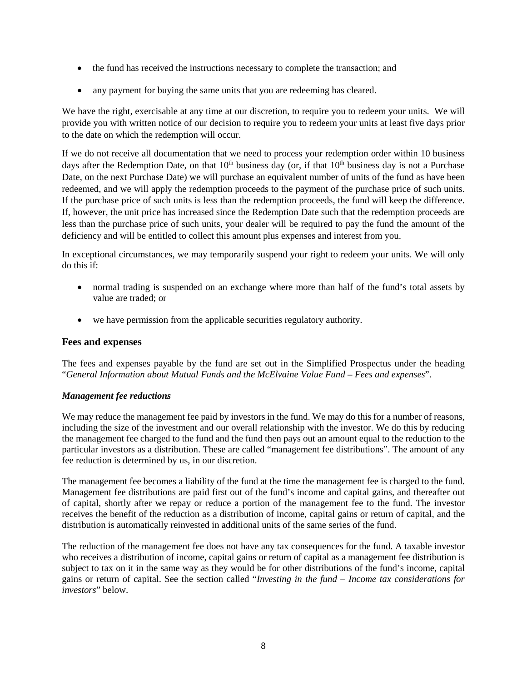- the fund has received the instructions necessary to complete the transaction; and
- any payment for buying the same units that you are redeeming has cleared.

We have the right, exercisable at any time at our discretion, to require you to redeem your units. We will provide you with written notice of our decision to require you to redeem your units at least five days prior to the date on which the redemption will occur.

If we do not receive all documentation that we need to process your redemption order within 10 business days after the Redemption Date, on that  $10<sup>th</sup>$  business day (or, if that  $10<sup>th</sup>$  business day is not a Purchase Date, on the next Purchase Date) we will purchase an equivalent number of units of the fund as have been redeemed, and we will apply the redemption proceeds to the payment of the purchase price of such units. If the purchase price of such units is less than the redemption proceeds, the fund will keep the difference. If, however, the unit price has increased since the Redemption Date such that the redemption proceeds are less than the purchase price of such units, your dealer will be required to pay the fund the amount of the deficiency and will be entitled to collect this amount plus expenses and interest from you.

In exceptional circumstances, we may temporarily suspend your right to redeem your units. We will only do this if:

- normal trading is suspended on an exchange where more than half of the fund's total assets by value are traded; or
- we have permission from the applicable securities regulatory authority.

## <span id="page-10-0"></span>**Fees and expenses**

The fees and expenses payable by the fund are set out in the Simplified Prospectus under the heading "*General Information about Mutual Funds and the McElvaine Value Fund – Fees and expenses*".

## <span id="page-10-1"></span>*Management fee reductions*

We may reduce the management fee paid by investors in the fund. We may do this for a number of reasons, including the size of the investment and our overall relationship with the investor. We do this by reducing the management fee charged to the fund and the fund then pays out an amount equal to the reduction to the particular investors as a distribution. These are called "management fee distributions". The amount of any fee reduction is determined by us, in our discretion.

The management fee becomes a liability of the fund at the time the management fee is charged to the fund. Management fee distributions are paid first out of the fund's income and capital gains, and thereafter out of capital, shortly after we repay or reduce a portion of the management fee to the fund. The investor receives the benefit of the reduction as a distribution of income, capital gains or return of capital, and the distribution is automatically reinvested in additional units of the same series of the fund.

The reduction of the management fee does not have any tax consequences for the fund. A taxable investor who receives a distribution of income, capital gains or return of capital as a management fee distribution is subject to tax on it in the same way as they would be for other distributions of the fund's income, capital gains or return of capital. See the section called "*Investing in the fund – Income tax considerations for investors*" below.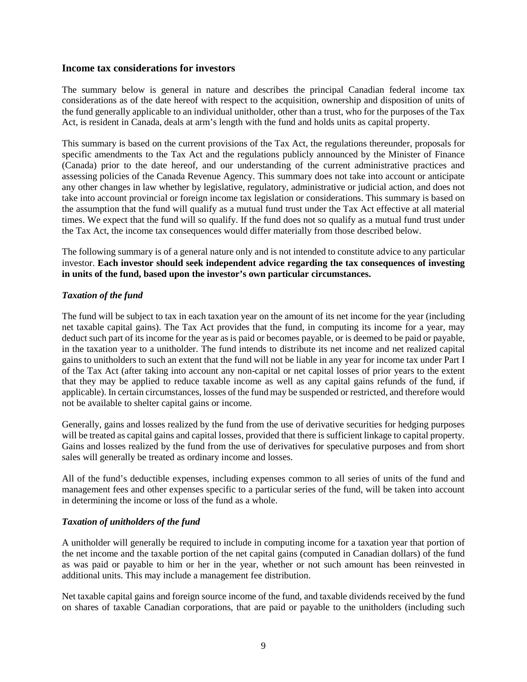### <span id="page-11-0"></span>**Income tax considerations for investors**

The summary below is general in nature and describes the principal Canadian federal income tax considerations as of the date hereof with respect to the acquisition, ownership and disposition of units of the fund generally applicable to an individual unitholder, other than a trust, who for the purposes of the Tax Act, is resident in Canada, deals at arm's length with the fund and holds units as capital property.

This summary is based on the current provisions of the Tax Act, the regulations thereunder, proposals for specific amendments to the Tax Act and the regulations publicly announced by the Minister of Finance (Canada) prior to the date hereof, and our understanding of the current administrative practices and assessing policies of the Canada Revenue Agency. This summary does not take into account or anticipate any other changes in law whether by legislative, regulatory, administrative or judicial action, and does not take into account provincial or foreign income tax legislation or considerations. This summary is based on the assumption that the fund will qualify as a mutual fund trust under the Tax Act effective at all material times. We expect that the fund will so qualify. If the fund does not so qualify as a mutual fund trust under the Tax Act, the income tax consequences would differ materially from those described below.

The following summary is of a general nature only and is not intended to constitute advice to any particular investor. **Each investor should seek independent advice regarding the tax consequences of investing in units of the fund, based upon the investor's own particular circumstances.**

## <span id="page-11-1"></span>*Taxation of the fund*

The fund will be subject to tax in each taxation year on the amount of its net income for the year (including net taxable capital gains). The Tax Act provides that the fund, in computing its income for a year, may deduct such part of its income for the year as is paid or becomes payable, or is deemed to be paid or payable, in the taxation year to a unitholder. The fund intends to distribute its net income and net realized capital gains to unitholders to such an extent that the fund will not be liable in any year for income tax under Part I of the Tax Act (after taking into account any non-capital or net capital losses of prior years to the extent that they may be applied to reduce taxable income as well as any capital gains refunds of the fund, if applicable). In certain circumstances, losses of the fund may be suspended or restricted, and therefore would not be available to shelter capital gains or income.

Generally, gains and losses realized by the fund from the use of derivative securities for hedging purposes will be treated as capital gains and capital losses, provided that there is sufficient linkage to capital property. Gains and losses realized by the fund from the use of derivatives for speculative purposes and from short sales will generally be treated as ordinary income and losses.

All of the fund's deductible expenses, including expenses common to all series of units of the fund and management fees and other expenses specific to a particular series of the fund, will be taken into account in determining the income or loss of the fund as a whole.

## <span id="page-11-2"></span>*Taxation of unitholders of the fund*

A unitholder will generally be required to include in computing income for a taxation year that portion of the net income and the taxable portion of the net capital gains (computed in Canadian dollars) of the fund as was paid or payable to him or her in the year, whether or not such amount has been reinvested in additional units. This may include a management fee distribution.

Net taxable capital gains and foreign source income of the fund, and taxable dividends received by the fund on shares of taxable Canadian corporations, that are paid or payable to the unitholders (including such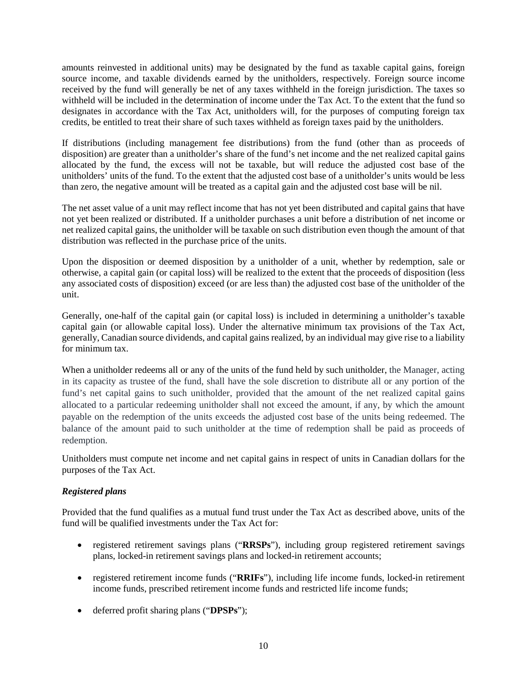amounts reinvested in additional units) may be designated by the fund as taxable capital gains, foreign source income, and taxable dividends earned by the unitholders, respectively. Foreign source income received by the fund will generally be net of any taxes withheld in the foreign jurisdiction. The taxes so withheld will be included in the determination of income under the Tax Act. To the extent that the fund so designates in accordance with the Tax Act, unitholders will, for the purposes of computing foreign tax credits, be entitled to treat their share of such taxes withheld as foreign taxes paid by the unitholders.

If distributions (including management fee distributions) from the fund (other than as proceeds of disposition) are greater than a unitholder's share of the fund's net income and the net realized capital gains allocated by the fund, the excess will not be taxable, but will reduce the adjusted cost base of the unitholders' units of the fund. To the extent that the adjusted cost base of a unitholder's units would be less than zero, the negative amount will be treated as a capital gain and the adjusted cost base will be nil.

The net asset value of a unit may reflect income that has not yet been distributed and capital gains that have not yet been realized or distributed. If a unitholder purchases a unit before a distribution of net income or net realized capital gains, the unitholder will be taxable on such distribution even though the amount of that distribution was reflected in the purchase price of the units.

Upon the disposition or deemed disposition by a unitholder of a unit, whether by redemption, sale or otherwise, a capital gain (or capital loss) will be realized to the extent that the proceeds of disposition (less any associated costs of disposition) exceed (or are less than) the adjusted cost base of the unitholder of the unit.

Generally, one-half of the capital gain (or capital loss) is included in determining a unitholder's taxable capital gain (or allowable capital loss). Under the alternative minimum tax provisions of the Tax Act, generally, Canadian source dividends, and capital gains realized, by an individual may give rise to a liability for minimum tax.

When a unitholder redeems all or any of the units of the fund held by such unitholder, the Manager, acting in its capacity as trustee of the fund, shall have the sole discretion to distribute all or any portion of the fund's net capital gains to such unitholder, provided that the amount of the net realized capital gains allocated to a particular redeeming unitholder shall not exceed the amount, if any, by which the amount payable on the redemption of the units exceeds the adjusted cost base of the units being redeemed. The balance of the amount paid to such unitholder at the time of redemption shall be paid as proceeds of redemption.

Unitholders must compute net income and net capital gains in respect of units in Canadian dollars for the purposes of the Tax Act.

# <span id="page-12-0"></span>*Registered plans*

Provided that the fund qualifies as a mutual fund trust under the Tax Act as described above, units of the fund will be qualified investments under the Tax Act for:

- registered retirement savings plans ("**RRSPs**"), including group registered retirement savings plans, locked-in retirement savings plans and locked-in retirement accounts;
- registered retirement income funds ("**RRIFs**"), including life income funds, locked-in retirement income funds, prescribed retirement income funds and restricted life income funds;
- deferred profit sharing plans ("**DPSPs**");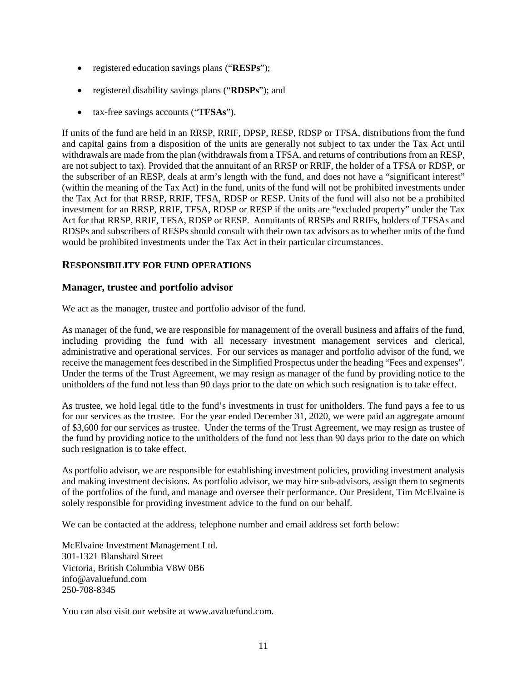- registered education savings plans ("**RESPs**");
- registered disability savings plans ("**RDSPs**"); and
- tax-free savings accounts ("**TFSAs**").

If units of the fund are held in an RRSP, RRIF, DPSP, RESP, RDSP or TFSA, distributions from the fund and capital gains from a disposition of the units are generally not subject to tax under the Tax Act until withdrawals are made from the plan (withdrawals from a TFSA, and returns of contributions from an RESP, are not subject to tax). Provided that the annuitant of an RRSP or RRIF, the holder of a TFSA or RDSP, or the subscriber of an RESP, deals at arm's length with the fund, and does not have a "significant interest" (within the meaning of the Tax Act) in the fund, units of the fund will not be prohibited investments under the Tax Act for that RRSP, RRIF, TFSA, RDSP or RESP. Units of the fund will also not be a prohibited investment for an RRSP, RRIF, TFSA, RDSP or RESP if the units are "excluded property" under the Tax Act for that RRSP, RRIF, TFSA, RDSP or RESP. Annuitants of RRSPs and RRIFs, holders of TFSAs and RDSPs and subscribers of RESPs should consult with their own tax advisors as to whether units of the fund would be prohibited investments under the Tax Act in their particular circumstances.

# <span id="page-13-0"></span>**RESPONSIBILITY FOR FUND OPERATIONS**

# <span id="page-13-1"></span>**Manager, trustee and portfolio advisor**

We act as the manager, trustee and portfolio advisor of the fund.

As manager of the fund, we are responsible for management of the overall business and affairs of the fund, including providing the fund with all necessary investment management services and clerical, administrative and operational services. For our services as manager and portfolio advisor of the fund, we receive the management fees described in the Simplified Prospectus under the heading "Fees and expenses". Under the terms of the Trust Agreement, we may resign as manager of the fund by providing notice to the unitholders of the fund not less than 90 days prior to the date on which such resignation is to take effect.

As trustee, we hold legal title to the fund's investments in trust for unitholders. The fund pays a fee to us for our services as the trustee. For the year ended December 31, 2020, we were paid an aggregate amount of \$3,600 for our services as trustee. Under the terms of the Trust Agreement, we may resign as trustee of the fund by providing notice to the unitholders of the fund not less than 90 days prior to the date on which such resignation is to take effect.

As portfolio advisor, we are responsible for establishing investment policies, providing investment analysis and making investment decisions. As portfolio advisor, we may hire sub-advisors, assign them to segments of the portfolios of the fund, and manage and oversee their performance. Our President, Tim McElvaine is solely responsible for providing investment advice to the fund on our behalf.

We can be contacted at the address, telephone number and email address set forth below:

McElvaine Investment Management Ltd. 301-1321 Blanshard Street Victoria, British Columbia V8W 0B6 info@avaluefund.com 250-708-8345

You can also visit our website at www.avaluefund.com.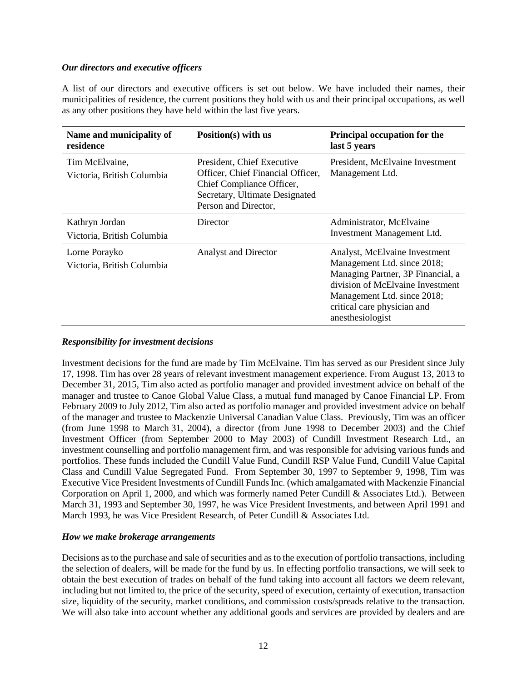## <span id="page-14-0"></span>*Our directors and executive officers*

A list of our directors and executive officers is set out below. We have included their names, their municipalities of residence, the current positions they hold with us and their principal occupations, as well as any other positions they have held within the last five years.

| Name and municipality of<br>residence        | Position(s) with us                                                                                                                                    | <b>Principal occupation for the</b><br>last 5 years                                                                                                                                                                     |
|----------------------------------------------|--------------------------------------------------------------------------------------------------------------------------------------------------------|-------------------------------------------------------------------------------------------------------------------------------------------------------------------------------------------------------------------------|
| Tim McElvaine,<br>Victoria, British Columbia | President, Chief Executive<br>Officer, Chief Financial Officer,<br>Chief Compliance Officer,<br>Secretary, Ultimate Designated<br>Person and Director, | President, McElvaine Investment<br>Management Ltd.                                                                                                                                                                      |
| Kathryn Jordan<br>Victoria, British Columbia | Director                                                                                                                                               | Administrator, McElvaine<br>Investment Management Ltd.                                                                                                                                                                  |
| Lorne Porayko<br>Victoria, British Columbia  | <b>Analyst and Director</b>                                                                                                                            | Analyst, McElvaine Investment<br>Management Ltd. since 2018;<br>Managing Partner, 3P Financial, a<br>division of McElvaine Investment<br>Management Ltd. since 2018;<br>critical care physician and<br>anesthesiologist |

## <span id="page-14-1"></span>*Responsibility for investment decisions*

Investment decisions for the fund are made by Tim McElvaine. Tim has served as our President since July 17, 1998. Tim has over 28 years of relevant investment management experience. From August 13, 2013 to December 31, 2015, Tim also acted as portfolio manager and provided investment advice on behalf of the manager and trustee to Canoe Global Value Class, a mutual fund managed by Canoe Financial LP. From February 2009 to July 2012, Tim also acted as portfolio manager and provided investment advice on behalf of the manager and trustee to Mackenzie Universal Canadian Value Class. Previously, Tim was an officer (from June 1998 to March 31, 2004), a director (from June 1998 to December 2003) and the Chief Investment Officer (from September 2000 to May 2003) of Cundill Investment Research Ltd., an investment counselling and portfolio management firm, and was responsible for advising various funds and portfolios. These funds included the Cundill Value Fund, Cundill RSP Value Fund, Cundill Value Capital Class and Cundill Value Segregated Fund. From September 30, 1997 to September 9, 1998, Tim was Executive Vice President Investments of Cundill Funds Inc. (which amalgamated with Mackenzie Financial Corporation on April 1, 2000, and which was formerly named Peter Cundill & Associates Ltd.). Between March 31, 1993 and September 30, 1997, he was Vice President Investments, and between April 1991 and March 1993, he was Vice President Research, of Peter Cundill & Associates Ltd.

#### <span id="page-14-2"></span>*How we make brokerage arrangements*

Decisions as to the purchase and sale of securities and as to the execution of portfolio transactions, including the selection of dealers, will be made for the fund by us. In effecting portfolio transactions, we will seek to obtain the best execution of trades on behalf of the fund taking into account all factors we deem relevant, including but not limited to, the price of the security, speed of execution, certainty of execution, transaction size, liquidity of the security, market conditions, and commission costs/spreads relative to the transaction. We will also take into account whether any additional goods and services are provided by dealers and are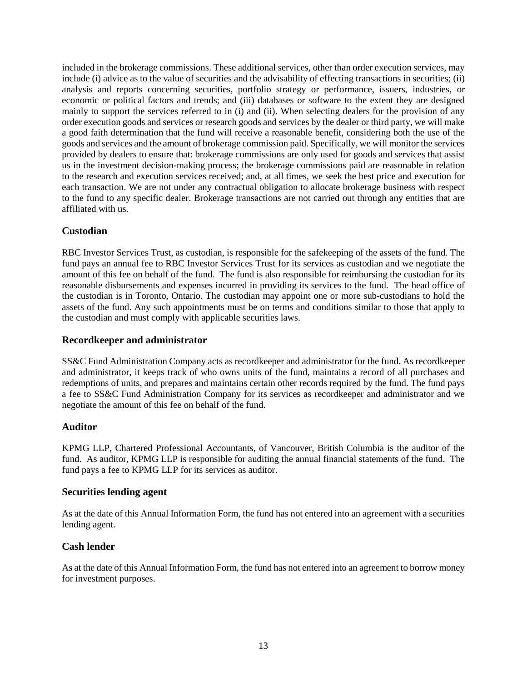included in the brokerage commissions. These additional services, other than order execution services, may include (i) advice as to the value of securities and the advisability of effecting transactions in securities; (ii) analysis and reports concerning securities, portfolio strategy or performance, issuers, industries, or economic or political factors and trends; and (iii) databases or software to the extent they are designed mainly to support the services referred to in (i) and (ii). When selecting dealers for the provision of any order execution goods and services or research goods and services by the dealer or third party, we will make a good faith determination that the fund will receive a reasonable benefit, considering both the use of the goods and services and the amount of brokerage commission paid. Specifically, we will monitor the services provided by dealers to ensure that: brokerage commissions are only used for goods and services that assist us in the investment decision-making process; the brokerage commissions paid are reasonable in relation to the research and execution services received; and, at all times, we seek the best price and execution for each transaction. We are not under any contractual obligation to allocate brokerage business with respect to the fund to any specific dealer. Brokerage transactions are not carried out through any entities that are affiliated with us.

# <span id="page-15-0"></span>**Custodian**

RBC Investor Services Trust, as custodian, is responsible for the safekeeping of the assets of the fund. The fund pays an annual fee to RBC Investor Services Trust for its services as custodian and we negotiate the amount of this fee on behalf of the fund. The fund is also responsible for reimbursing the custodian for its reasonable disbursements and expenses incurred in providing its services to the fund. The head office of the custodian is in Toronto, Ontario. The custodian may appoint one or more sub-custodians to hold the assets of the fund. Any such appointments must be on terms and conditions similar to those that apply to the custodian and must comply with applicable securities laws.

# <span id="page-15-1"></span>**Recordkeeper and administrator**

SS&C Fund Administration Company acts as recordkeeper and administrator for the fund. As recordkeeper and administrator, it keeps track of who owns units of the fund, maintains a record of all purchases and redemptions of units, and prepares and maintains certain other records required by the fund. The fund pays a fee to SS&C Fund Administration Company for its services as recordkeeper and administrator and we negotiate the amount of this fee on behalf of the fund.

# <span id="page-15-2"></span>**Auditor**

KPMG LLP, Chartered Professional Accountants, of Vancouver, British Columbia is the auditor of the fund. As auditor, KPMG LLP is responsible for auditing the annual financial statements of the fund. The fund pays a fee to KPMG LLP for its services as auditor.

## <span id="page-15-3"></span>**Securities lending agent**

As at the date of this Annual Information Form, the fund has not entered into an agreement with a securities lending agent.

# <span id="page-15-4"></span>**Cash lender**

As at the date of this Annual Information Form, the fund has not entered into an agreement to borrow money for investment purposes.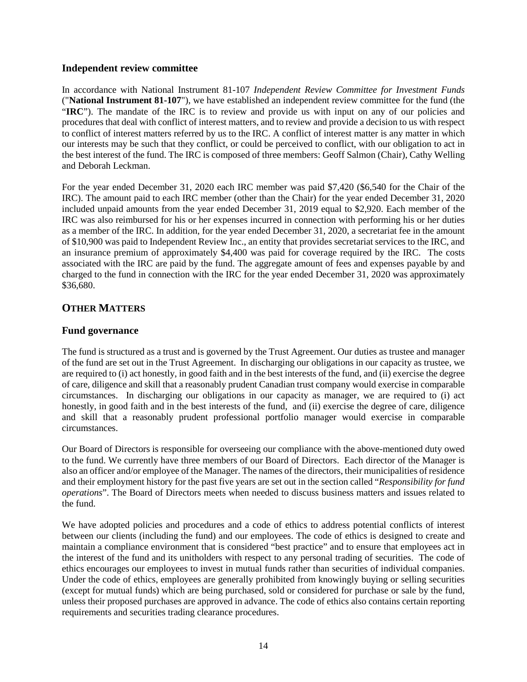# <span id="page-16-0"></span>**Independent review committee**

In accordance with National Instrument 81-107 *Independent Review Committee for Investment Funds* ("**National Instrument 81-107**"), we have established an independent review committee for the fund (the "**IRC**"). The mandate of the IRC is to review and provide us with input on any of our policies and procedures that deal with conflict of interest matters, and to review and provide a decision to us with respect to conflict of interest matters referred by us to the IRC. A conflict of interest matter is any matter in which our interests may be such that they conflict, or could be perceived to conflict, with our obligation to act in the best interest of the fund. The IRC is composed of three members: Geoff Salmon (Chair), Cathy Welling and Deborah Leckman.

For the year ended December 31, 2020 each IRC member was paid \$7,420 (\$6,540 for the Chair of the IRC). The amount paid to each IRC member (other than the Chair) for the year ended December 31, 2020 included unpaid amounts from the year ended December 31, 2019 equal to \$2,920. Each member of the IRC was also reimbursed for his or her expenses incurred in connection with performing his or her duties as a member of the IRC. In addition, for the year ended December 31, 2020, a secretariat fee in the amount of \$10,900 was paid to Independent Review Inc., an entity that provides secretariat services to the IRC, and an insurance premium of approximately \$4,400 was paid for coverage required by the IRC. The costs associated with the IRC are paid by the fund. The aggregate amount of fees and expenses payable by and charged to the fund in connection with the IRC for the year ended December 31, 2020 was approximately \$36,680.

# <span id="page-16-1"></span>**OTHER MATTERS**

# <span id="page-16-2"></span>**Fund governance**

The fund is structured as a trust and is governed by the Trust Agreement. Our duties as trustee and manager of the fund are set out in the Trust Agreement. In discharging our obligations in our capacity as trustee, we are required to (i) act honestly, in good faith and in the best interests of the fund, and (ii) exercise the degree of care, diligence and skill that a reasonably prudent Canadian trust company would exercise in comparable circumstances. In discharging our obligations in our capacity as manager, we are required to (i) act honestly, in good faith and in the best interests of the fund, and (ii) exercise the degree of care, diligence and skill that a reasonably prudent professional portfolio manager would exercise in comparable circumstances.

Our Board of Directors is responsible for overseeing our compliance with the above-mentioned duty owed to the fund. We currently have three members of our Board of Directors. Each director of the Manager is also an officer and/or employee of the Manager. The names of the directors, their municipalities of residence and their employment history for the past five years are set out in the section called "*Responsibility for fund operations*". The Board of Directors meets when needed to discuss business matters and issues related to the fund.

We have adopted policies and procedures and a code of ethics to address potential conflicts of interest between our clients (including the fund) and our employees. The code of ethics is designed to create and maintain a compliance environment that is considered "best practice" and to ensure that employees act in the interest of the fund and its unitholders with respect to any personal trading of securities. The code of ethics encourages our employees to invest in mutual funds rather than securities of individual companies. Under the code of ethics, employees are generally prohibited from knowingly buying or selling securities (except for mutual funds) which are being purchased, sold or considered for purchase or sale by the fund, unless their proposed purchases are approved in advance. The code of ethics also contains certain reporting requirements and securities trading clearance procedures.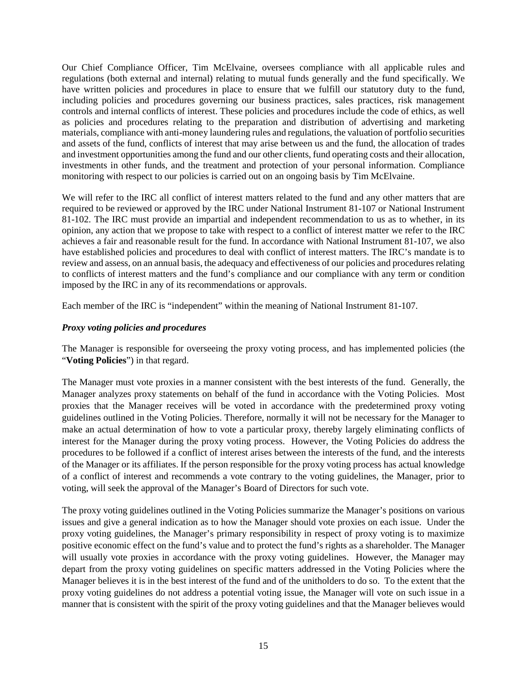Our Chief Compliance Officer, Tim McElvaine, oversees compliance with all applicable rules and regulations (both external and internal) relating to mutual funds generally and the fund specifically. We have written policies and procedures in place to ensure that we fulfill our statutory duty to the fund, including policies and procedures governing our business practices, sales practices, risk management controls and internal conflicts of interest. These policies and procedures include the code of ethics, as well as policies and procedures relating to the preparation and distribution of advertising and marketing materials, compliance with anti-money laundering rules and regulations, the valuation of portfolio securities and assets of the fund, conflicts of interest that may arise between us and the fund, the allocation of trades and investment opportunities among the fund and our other clients, fund operating costs and their allocation, investments in other funds, and the treatment and protection of your personal information. Compliance monitoring with respect to our policies is carried out on an ongoing basis by Tim McElvaine.

We will refer to the IRC all conflict of interest matters related to the fund and any other matters that are required to be reviewed or approved by the IRC under National Instrument 81-107 or National Instrument 81-102. The IRC must provide an impartial and independent recommendation to us as to whether, in its opinion, any action that we propose to take with respect to a conflict of interest matter we refer to the IRC achieves a fair and reasonable result for the fund. In accordance with National Instrument 81-107, we also have established policies and procedures to deal with conflict of interest matters. The IRC's mandate is to review and assess, on an annual basis, the adequacy and effectiveness of our policies and procedures relating to conflicts of interest matters and the fund's compliance and our compliance with any term or condition imposed by the IRC in any of its recommendations or approvals.

Each member of the IRC is "independent" within the meaning of National Instrument 81-107.

# <span id="page-17-0"></span>*Proxy voting policies and procedures*

The Manager is responsible for overseeing the proxy voting process, and has implemented policies (the "**Voting Policies**") in that regard.

The Manager must vote proxies in a manner consistent with the best interests of the fund. Generally, the Manager analyzes proxy statements on behalf of the fund in accordance with the Voting Policies. Most proxies that the Manager receives will be voted in accordance with the predetermined proxy voting guidelines outlined in the Voting Policies. Therefore, normally it will not be necessary for the Manager to make an actual determination of how to vote a particular proxy, thereby largely eliminating conflicts of interest for the Manager during the proxy voting process. However, the Voting Policies do address the procedures to be followed if a conflict of interest arises between the interests of the fund, and the interests of the Manager or its affiliates. If the person responsible for the proxy voting process has actual knowledge of a conflict of interest and recommends a vote contrary to the voting guidelines, the Manager, prior to voting, will seek the approval of the Manager's Board of Directors for such vote.

The proxy voting guidelines outlined in the Voting Policies summarize the Manager's positions on various issues and give a general indication as to how the Manager should vote proxies on each issue. Under the proxy voting guidelines, the Manager's primary responsibility in respect of proxy voting is to maximize positive economic effect on the fund's value and to protect the fund's rights as a shareholder. The Manager will usually vote proxies in accordance with the proxy voting guidelines. However, the Manager may depart from the proxy voting guidelines on specific matters addressed in the Voting Policies where the Manager believes it is in the best interest of the fund and of the unitholders to do so. To the extent that the proxy voting guidelines do not address a potential voting issue, the Manager will vote on such issue in a manner that is consistent with the spirit of the proxy voting guidelines and that the Manager believes would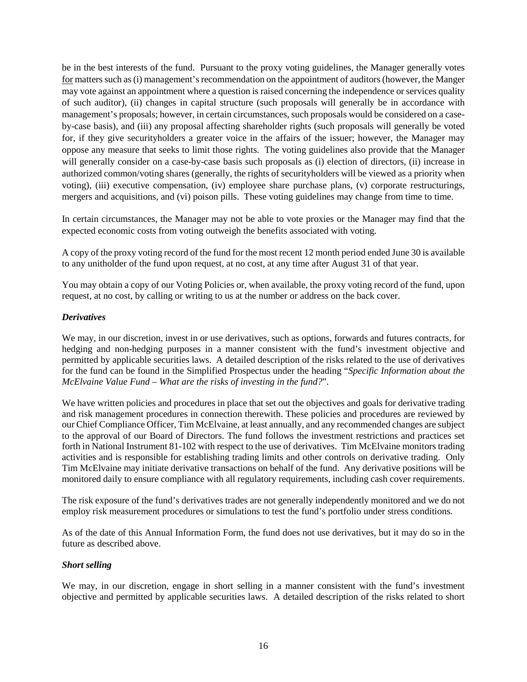be in the best interests of the fund. Pursuant to the proxy voting guidelines, the Manager generally votes for matters such as (i) management's recommendation on the appointment of auditors (however, the Manger may vote against an appointment where a question is raised concerning the independence or services quality of such auditor), (ii) changes in capital structure (such proposals will generally be in accordance with management's proposals; however, in certain circumstances, such proposals would be considered on a caseby-case basis), and (iii) any proposal affecting shareholder rights (such proposals will generally be voted for, if they give securityholders a greater voice in the affairs of the issuer; however, the Manager may oppose any measure that seeks to limit those rights. The voting guidelines also provide that the Manager will generally consider on a case-by-case basis such proposals as (i) election of directors, (ii) increase in authorized common/voting shares (generally, the rights of securityholders will be viewed as a priority when voting), (iii) executive compensation, (iv) employee share purchase plans, (v) corporate restructurings, mergers and acquisitions, and (vi) poison pills. These voting guidelines may change from time to time.

In certain circumstances, the Manager may not be able to vote proxies or the Manager may find that the expected economic costs from voting outweigh the benefits associated with voting.

A copy of the proxy voting record of the fund for the most recent 12 month period ended June 30 is available to any unitholder of the fund upon request, at no cost, at any time after August 31 of that year.

You may obtain a copy of our Voting Policies or, when available, the proxy voting record of the fund, upon request, at no cost, by calling or writing to us at the number or address on the back cover.

# <span id="page-18-0"></span>*Derivatives*

We may, in our discretion, invest in or use derivatives, such as options, forwards and futures contracts, for hedging and non-hedging purposes in a manner consistent with the fund's investment objective and permitted by applicable securities laws. A detailed description of the risks related to the use of derivatives for the fund can be found in the Simplified Prospectus under the heading "*Specific Information about the McElvaine Value Fund – What are the risks of investing in the fund?*".

We have written policies and procedures in place that set out the objectives and goals for derivative trading and risk management procedures in connection therewith. These policies and procedures are reviewed by our Chief Compliance Officer, Tim McElvaine, at least annually, and any recommended changes are subject to the approval of our Board of Directors. The fund follows the investment restrictions and practices set forth in National Instrument 81-102 with respect to the use of derivatives. Tim McElvaine monitors trading activities and is responsible for establishing trading limits and other controls on derivative trading. Only Tim McElvaine may initiate derivative transactions on behalf of the fund. Any derivative positions will be monitored daily to ensure compliance with all regulatory requirements, including cash cover requirements.

The risk exposure of the fund's derivatives trades are not generally independently monitored and we do not employ risk measurement procedures or simulations to test the fund's portfolio under stress conditions.

As of the date of this Annual Information Form, the fund does not use derivatives, but it may do so in the future as described above.

## <span id="page-18-1"></span>*Short selling*

We may, in our discretion, engage in short selling in a manner consistent with the fund's investment objective and permitted by applicable securities laws. A detailed description of the risks related to short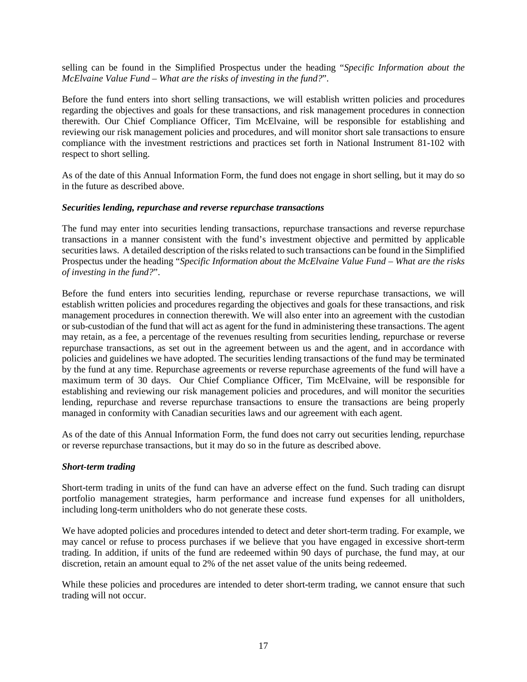selling can be found in the Simplified Prospectus under the heading "*Specific Information about the McElvaine Value Fund – What are the risks of investing in the fund?*".

Before the fund enters into short selling transactions, we will establish written policies and procedures regarding the objectives and goals for these transactions, and risk management procedures in connection therewith. Our Chief Compliance Officer, Tim McElvaine, will be responsible for establishing and reviewing our risk management policies and procedures, and will monitor short sale transactions to ensure compliance with the investment restrictions and practices set forth in National Instrument 81-102 with respect to short selling.

As of the date of this Annual Information Form, the fund does not engage in short selling, but it may do so in the future as described above.

## <span id="page-19-0"></span>*Securities lending, repurchase and reverse repurchase transactions*

The fund may enter into securities lending transactions, repurchase transactions and reverse repurchase transactions in a manner consistent with the fund's investment objective and permitted by applicable securities laws. A detailed description of the risks related to such transactions can be found in the Simplified Prospectus under the heading "*Specific Information about the McElvaine Value Fund – What are the risks of investing in the fund?*".

Before the fund enters into securities lending, repurchase or reverse repurchase transactions, we will establish written policies and procedures regarding the objectives and goals for these transactions, and risk management procedures in connection therewith. We will also enter into an agreement with the custodian or sub-custodian of the fund that will act as agent for the fund in administering these transactions. The agent may retain, as a fee, a percentage of the revenues resulting from securities lending, repurchase or reverse repurchase transactions, as set out in the agreement between us and the agent, and in accordance with policies and guidelines we have adopted. The securities lending transactions of the fund may be terminated by the fund at any time. Repurchase agreements or reverse repurchase agreements of the fund will have a maximum term of 30 days. Our Chief Compliance Officer, Tim McElvaine, will be responsible for establishing and reviewing our risk management policies and procedures, and will monitor the securities lending, repurchase and reverse repurchase transactions to ensure the transactions are being properly managed in conformity with Canadian securities laws and our agreement with each agent.

As of the date of this Annual Information Form, the fund does not carry out securities lending, repurchase or reverse repurchase transactions, but it may do so in the future as described above.

## <span id="page-19-1"></span>*Short-term trading*

Short-term trading in units of the fund can have an adverse effect on the fund. Such trading can disrupt portfolio management strategies, harm performance and increase fund expenses for all unitholders, including long-term unitholders who do not generate these costs.

We have adopted policies and procedures intended to detect and deter short-term trading. For example, we may cancel or refuse to process purchases if we believe that you have engaged in excessive short-term trading. In addition, if units of the fund are redeemed within 90 days of purchase, the fund may, at our discretion, retain an amount equal to 2% of the net asset value of the units being redeemed.

While these policies and procedures are intended to deter short-term trading, we cannot ensure that such trading will not occur.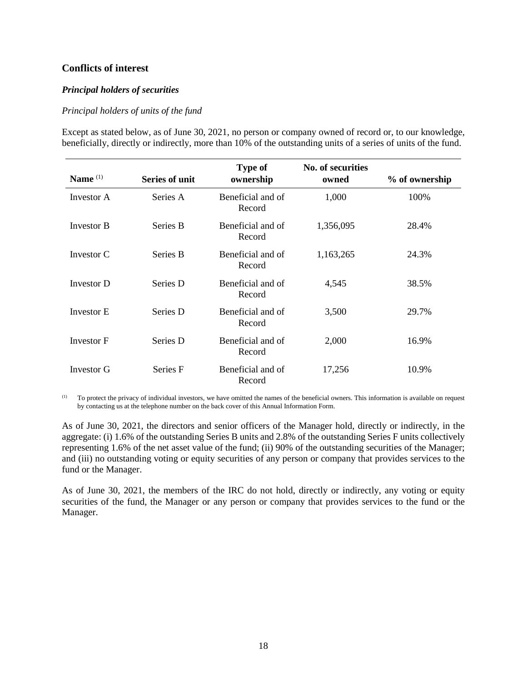# <span id="page-20-0"></span>**Conflicts of interest**

# <span id="page-20-1"></span>*Principal holders of securities*

## *Principal holders of units of the fund*

Except as stated below, as of June 30, 2021, no person or company owned of record or, to our knowledge, beneficially, directly or indirectly, more than 10% of the outstanding units of a series of units of the fund.

| Name $(1)$        | <b>Series of unit</b> | <b>Type of</b><br>ownership | No. of securities<br>owned | % of ownership |
|-------------------|-----------------------|-----------------------------|----------------------------|----------------|
| Investor A        | Series A              | Beneficial and of<br>Record | 1,000                      | 100%           |
| Investor B        | Series B              | Beneficial and of<br>Record | 1,356,095                  | 28.4%          |
| Investor C        | Series B              | Beneficial and of<br>Record | 1,163,265                  | 24.3%          |
| Investor D        | Series D              | Beneficial and of<br>Record | 4,545                      | 38.5%          |
| <b>Investor E</b> | Series D              | Beneficial and of<br>Record | 3,500                      | 29.7%          |
| Investor F        | Series D              | Beneficial and of<br>Record | 2,000                      | 16.9%          |
| Investor G        | Series F              | Beneficial and of<br>Record | 17,256                     | 10.9%          |

(1) To protect the privacy of individual investors, we have omitted the names of the beneficial owners. This information is available on request by contacting us at the telephone number on the back cover of this Annual Information Form.

As of June 30, 2021, the directors and senior officers of the Manager hold, directly or indirectly, in the aggregate: (i) 1.6% of the outstanding Series B units and 2.8% of the outstanding Series F units collectively representing 1.6% of the net asset value of the fund; (ii) 90% of the outstanding securities of the Manager; and (iii) no outstanding voting or equity securities of any person or company that provides services to the fund or the Manager.

As of June 30, 2021, the members of the IRC do not hold, directly or indirectly, any voting or equity securities of the fund, the Manager or any person or company that provides services to the fund or the Manager.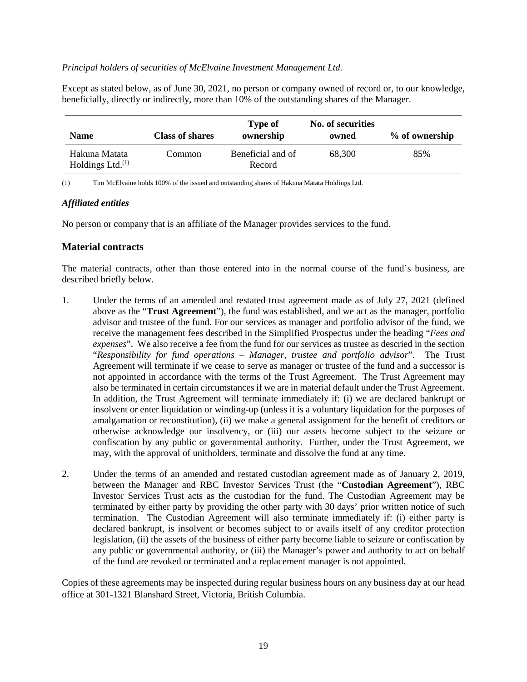#### *Principal holders of securities of McElvaine Investment Management Ltd.*

Except as stated below, as of June 30, 2021, no person or company owned of record or, to our knowledge, beneficially, directly or indirectly, more than 10% of the outstanding shares of the Manager.

| <b>Name</b>                          | <b>Class of shares</b> | <b>Type of</b><br>ownership | No. of securities<br>owned | % of ownership |
|--------------------------------------|------------------------|-----------------------------|----------------------------|----------------|
| Hakuna Matata<br>Holdings Ltd. $(1)$ | Common                 | Beneficial and of<br>Record | 68,300                     | 85%            |

<span id="page-21-0"></span>(1) Tim McElvaine holds 100% of the issued and outstanding shares of Hakuna Matata Holdings Ltd.

#### *Affiliated entities*

No person or company that is an affiliate of the Manager provides services to the fund.

# <span id="page-21-1"></span>**Material contracts**

The material contracts, other than those entered into in the normal course of the fund's business, are described briefly below.

- 1. Under the terms of an amended and restated trust agreement made as of July 27, 2021 (defined above as the "**Trust Agreement**"), the fund was established, and we act as the manager, portfolio advisor and trustee of the fund. For our services as manager and portfolio advisor of the fund, we receive the management fees described in the Simplified Prospectus under the heading "*Fees and expenses*". We also receive a fee from the fund for our services as trustee as descried in the section "*Responsibility for fund operations – Manager, trustee and portfolio advisor*". The Trust Agreement will terminate if we cease to serve as manager or trustee of the fund and a successor is not appointed in accordance with the terms of the Trust Agreement. The Trust Agreement may also be terminated in certain circumstances if we are in material default under the Trust Agreement. In addition, the Trust Agreement will terminate immediately if: (i) we are declared bankrupt or insolvent or enter liquidation or winding-up (unless it is a voluntary liquidation for the purposes of amalgamation or reconstitution), (ii) we make a general assignment for the benefit of creditors or otherwise acknowledge our insolvency, or (iii) our assets become subject to the seizure or confiscation by any public or governmental authority. Further, under the Trust Agreement, we may, with the approval of unitholders, terminate and dissolve the fund at any time.
- 2. Under the terms of an amended and restated custodian agreement made as of January 2, 2019, between the Manager and RBC Investor Services Trust (the "**Custodian Agreement**"), RBC Investor Services Trust acts as the custodian for the fund. The Custodian Agreement may be terminated by either party by providing the other party with 30 days' prior written notice of such termination. The Custodian Agreement will also terminate immediately if: (i) either party is declared bankrupt, is insolvent or becomes subject to or avails itself of any creditor protection legislation, (ii) the assets of the business of either party become liable to seizure or confiscation by any public or governmental authority, or (iii) the Manager's power and authority to act on behalf of the fund are revoked or terminated and a replacement manager is not appointed.

Copies of these agreements may be inspected during regular business hours on any business day at our head office at 301-1321 Blanshard Street, Victoria, British Columbia.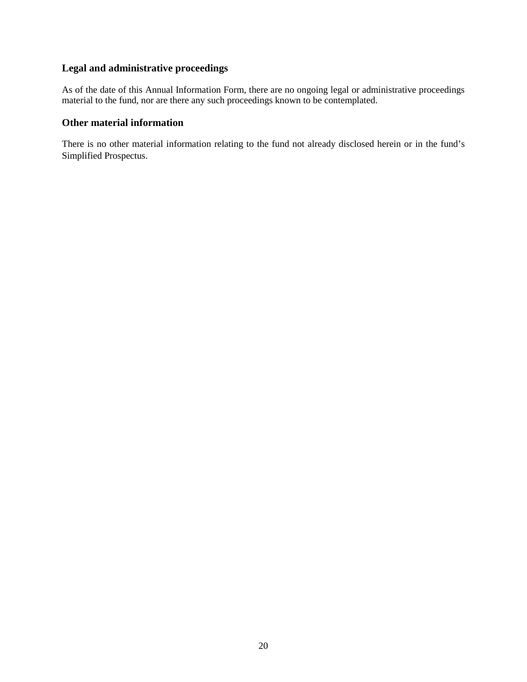# <span id="page-22-0"></span>**Legal and administrative proceedings**

As of the date of this Annual Information Form, there are no ongoing legal or administrative proceedings material to the fund, nor are there any such proceedings known to be contemplated.

# <span id="page-22-1"></span>**Other material information**

There is no other material information relating to the fund not already disclosed herein or in the fund's Simplified Prospectus.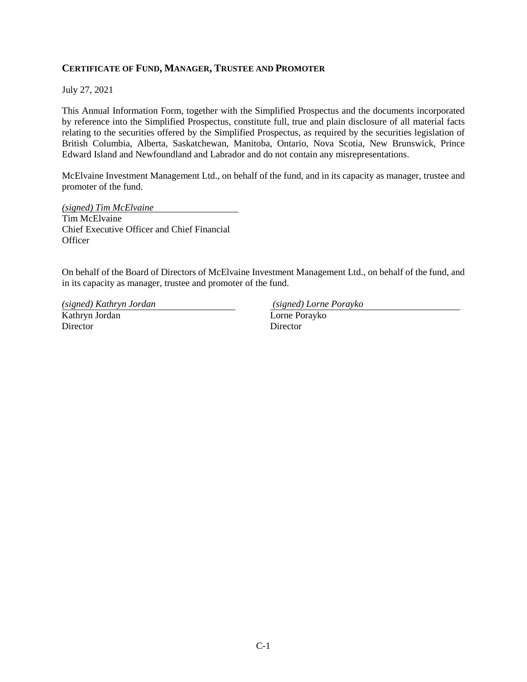# **CERTIFICATE OF FUND, MANAGER, TRUSTEE AND PROMOTER**

July 27, 2021

This Annual Information Form, together with the Simplified Prospectus and the documents incorporated by reference into the Simplified Prospectus, constitute full, true and plain disclosure of all material facts relating to the securities offered by the Simplified Prospectus, as required by the securities legislation of British Columbia, Alberta, Saskatchewan, Manitoba, Ontario, Nova Scotia, New Brunswick, Prince Edward Island and Newfoundland and Labrador and do not contain any misrepresentations.

McElvaine Investment Management Ltd., on behalf of the fund, and in its capacity as manager, trustee and promoter of the fund.

*(signed) Tim McElvaine*  Tim McElvaine Chief Executive Officer and Chief Financial **Officer** 

On behalf of the Board of Directors of McElvaine Investment Management Ltd., on behalf of the fund, and in its capacity as manager, trustee and promoter of the fund.

*(signed) Kathryn Jordan (signed) Lorne Porayko*  Kathryn Jordan **Director** 

Lorne Porayko Director